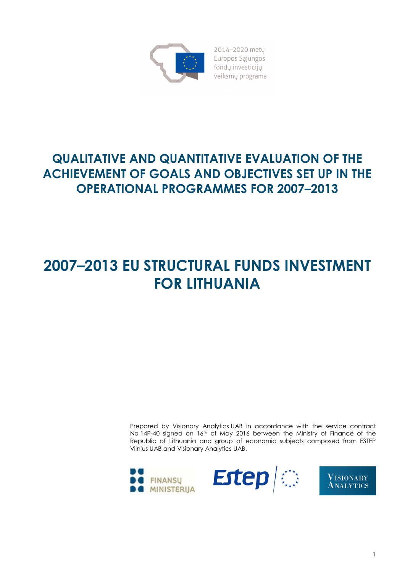

2014-2020 metu Europos Sąjungos fondų investicijų veiksmų programa

## QUALITATIVE AND QUANTITATIVE EVALUATION OF THE ACHIEVEMENT OF GOALS AND OBJECTIVES SET UP IN THE OPERATIONAL PROGRAMMES FOR 2007–2013

# 2007–2013 EU STRUCTURAL FUNDS INVESTMENT FOR LITHUANIA

Prepared by Visionary Analytics UAB in accordance with the service contract No 14P-40 signed on 16<sup>th</sup> of May 2016 between the Ministry of Finance of the Republic of Lithuania and group of economic subjects composed from ESTEP Vilnius UAB and Visionary Analytics UAB.

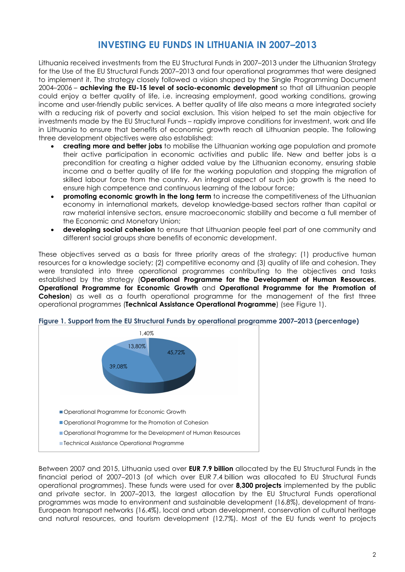## INVESTING EU FUNDS IN LITHUANIA IN 2007–2013

Lithuania received investments from the EU Structural Funds in 2007–2013 under the Lithuanian Strategy for the Use of the EU Structural Funds 2007–2013 and four operational programmes that were designed to implement it. The strategy closely followed a vision shaped by the Single Programming Document 2004–2006 – achieving the EU-15 level of socio-economic development so that all Lithuanian people could enjoy a better quality of life, i.e. increasing employment, good working conditions, growing income and user-friendly public services. A better quality of life also means a more integrated society with a reducing risk of poverty and social exclusion. This vision helped to set the main objective for investments made by the EU Structural Funds – rapidly improve conditions for investment, work and life in Lithuania to ensure that benefits of economic growth reach all Lithuanian people. The following three development objectives were also established:

- creating more and better jobs to mobilise the Lithuanian working age population and promote their active participation in economic activities and public life. New and better jobs is a precondition for creating a higher added value by the Lithuanian economy, ensuring stable income and a better quality of life for the working population and stopping the migration of skilled labour force from the country. An integral aspect of such job growth is the need to ensure high competence and continuous learning of the labour force;
- promoting economic growth in the long term to increase the competitiveness of the Lithuanian economy in international markets, develop knowledge-based sectors rather than capital or raw material intensive sectors, ensure macroeconomic stability and become a full member of the Economic and Monetary Union;
- **developing social cohesion** to ensure that Lithuanian people feel part of one community and different social groups share benefits of economic development.

These objectives served as a basis for three priority areas of the strategy: (1) productive human resources for a knowledge society; (2) competitive economy and (3) quality of life and cohesion. They were translated into three operational programmes contributing to the objectives and tasks established by the strategy (Operational Programme for the Development of Human Resources, Operational Programme for Economic Growth and Operational Programme for the Promotion of Cohesion) as well as a fourth operational programme for the management of the first three operational programmes (Technical Assistance Operational Programme) (see Figure 1).



Figure 1. Support from the EU Structural Funds by operational programme 2007–2013 (percentage)

Between 2007 and 2015, Lithuania used over **EUR 7.9 billion** allocated by the EU Structural Funds in the financial period of 2007–2013 (of which over EUR 7.4 billion was allocated to EU Structural Funds operational programmes). These funds were used for over 8,300 projects implemented by the public and private sector. In 2007–2013, the largest allocation by the EU Structural Funds operational programmes was made to environment and sustainable development (16.8%), development of trans-European transport networks (16.4%), local and urban development, conservation of cultural heritage and natural resources, and tourism development (12.7%). Most of the EU funds went to projects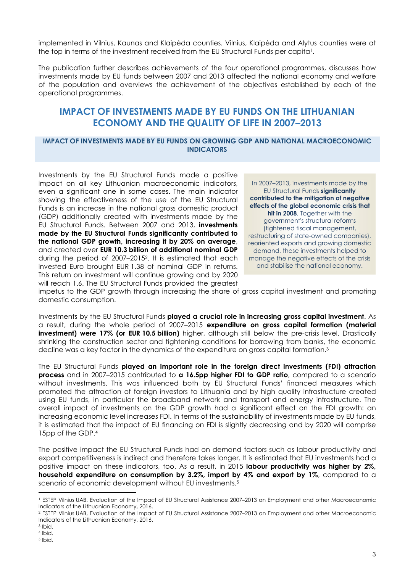implemented in Vilnius, Kaunas and Klaipėda counties. Vilnius, Klaipėda and Alytus counties were at the top in terms of the investment received from the EU Structural Funds per capita1.

The publication further describes achievements of the four operational programmes, discusses how investments made by EU funds between 2007 and 2013 affected the national economy and welfare of the population and overviews the achievement of the objectives established by each of the operational programmes.

## IMPACT OF INVESTMENTS MADE BY EU FUNDS ON THE LITHUANIAN ECONOMY AND THE QUALITY OF LIFE IN 2007–2013

#### IMPACT OF INVESTMENTS MADE BY EU FUNDS ON GROWING GDP AND NATIONAL MACROECONOMIC INDICATORS

Investments by the EU Structural Funds made a positive impact on all key Lithuanian macroeconomic indicators, even a significant one in some cases. The main indicator showing the effectiveness of the use of the EU Structural Funds is an increase in the national gross domestic product (GDP) additionally created with investments made by the EU Structural Funds. Between 2007 and 2013, **investments** made by the EU Structural Funds significantly contributed to the national GDP growth, increasing it by 20% on average, and created over EUR 10.3 billion of additional nominal GDP during the period of 2007–20152. It is estimated that each invested Euro brought EUR 1.38 of nominal GDP in returns. This return on investment will continue growing and by 2020 will reach 1.6. The EU Structural Funds provided the greatest

In 2007–2013, investments made by the EU Structural Funds significantly contributed to the mitigation of negative effects of the global economic crisis that hit in 2008. Together with the government's structural reforms (tightened fiscal management, restructuring of state-owned companies), reoriented exports and growing domestic demand, these investments helped to manage the negative effects of the crisis and stabilise the national economy.

impetus to the GDP growth through increasing the share of gross capital investment and promoting domestic consumption.

Investments by the EU Structural Funds played a crucial role in increasing gross capital investment. As a result, during the whole period of 2007–2015 expenditure on gross capital formation (material investment) were 17% (or EUR 10.5 billion) higher, although still below the pre-crisis level. Drastically shrinking the construction sector and tightening conditions for borrowing from banks, the economic decline was a key factor in the dynamics of the expenditure on gross capital formation.<sup>3</sup>

The EU Structural Funds played an important role in the foreign direct investments (FDI) attraction process and in 2007–2015 contributed to a 16.5pp higher FDI to GDP ratio, compared to a scenario without investments. This was influenced both by EU Structural Funds' financed measures which promoted the attraction of foreign investors to Lithuania and by high quality infrastructure created using EU funds, in particular the broadband network and transport and energy infrastructure. The overall impact of investments on the GDP growth had a significant effect on the FDI growth: an increasing economic level increases FDI. In terms of the sustainability of investments made by EU funds, it is estimated that the impact of EU financing on FDI is slightly decreasing and by 2020 will comprise 15pp of the GDP.<sup>4</sup>

The positive impact the EU Structural Funds had on demand factors such as labour productivity and export competitiveness is indirect and therefore takes longer. It is estimated that EU investments had a positive impact on these indicators, too. As a result, in 2015 labour productivity was higher by 2%, household expenditure on consumption by 3.2%, import by 4% and export by 1%, compared to a scenario of economic development without EU investments.<sup>5</sup>

-

<sup>1</sup> ESTEP Vilnius UAB, Evaluation of the Impact of EU Structural Assistance 2007–2013 on Employment and other Macroeconomic Indicators of the Lithuanian Economy, 2016.

<sup>2</sup> ESTEP Vilnius UAB, Evaluation of the Impact of EU Structural Assistance 2007–2013 on Employment and other Macroeconomic Indicators of the Lithuanian Economy, 2016.

<sup>3</sup> Ibid.

<sup>4</sup> Ibid. 5 Ibid.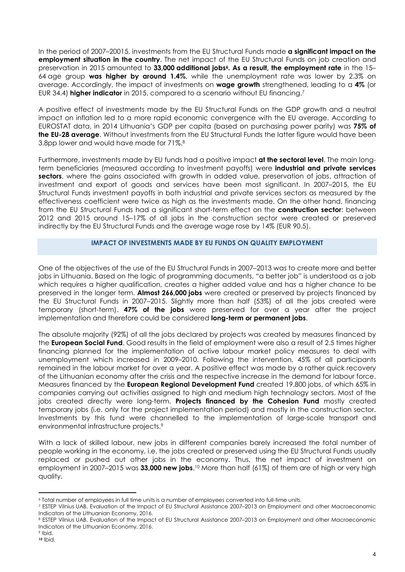In the period of 2007–20015, investments from the EU Structural Funds made **a significant impact on the** employment situation in the country. The net impact of the EU Structural Funds on job creation and preservation in 2015 amounted to 33,000 additional jobs<sup>6</sup>. As a result, the employment rate in the 15– 64 age group was higher by around 1.4%, while the unemployment rate was lower by 2.3% on average. Accordingly, the impact of investments on wage growth strengthened, leading to a 4% (or EUR 34.4) higher indicator in 2015, compared to a scenario without EU financing.<sup>7</sup>

A positive effect of investments made by the EU Structural Funds on the GDP growth and a neutral impact on inflation led to a more rapid economic convergence with the EU average. According to EUROSTAT data, in 2014 Lithuania's GDP per capita (based on purchasing power parity) was 75% of the EU-28 average. Without investments from the EU Structural Funds the latter figure would have been 3.8pp lower and would have made for 71%.<sup>8</sup>

Furthermore, investments made by EU funds had a positive impact at the sectoral level. The main longterm beneficiaries (measured according to investment payoffs) were industrial and private services sectors, where the gains associated with growth in added value, preservation of jobs, attraction of investment and export of goods and services have been most significant. In 2007–2015, the EU Structural Funds investment payoffs in both industrial and private services sectors as measured by the effectiveness coefficient were twice as high as the investments made. On the other hand, financing from the EU Structural Funds had a significant short-term effect on the **construction sector**: between 2012 and 2015 around 15–17% of all jobs in the construction sector were created or preserved indirectly by the EU Structural Funds and the average wage rose by 14% (EUR 90.5).

### IMPACT OF INVESTMENTS MADE BY EU FUNDS ON QUALITY EMPLOYMENT

One of the objectives of the use of the EU Structural Funds in 2007–2013 was to create more and better jobs in Lithuania. Based on the logic of programming documents, "a better job" is understood as a job which requires a higher qualification, creates a higher added value and has a higher chance to be preserved in the longer term. Almost 266,000 jobs were created or preserved by projects financed by the EU Structural Funds in 2007–2015. Slightly more than half (53%) of all the jobs created were temporary (short-term). **47% of the jobs** were preserved for over a year after the project implementation and therefore could be considered **long-term or permanent jobs.** 

The absolute majority (92%) of all the jobs declared by projects was created by measures financed by the **European Social Fund.** Good results in the field of employment were also a result of 2.5 times higher financing planned for the implementation of active labour market policy measures to deal with unemployment which increased in 2009–2010. Following the intervention, 45% of all participants remained in the labour market for over a year. A positive effect was made by a rather quick recovery of the Lithuanian economy after the crisis and the respective increase in the demand for labour force. Measures financed by the **European Regional Development Fund** created 19,800 jobs, of which 65% in companies carrying out activities assigned to high and medium high technology sectors. Most of the jobs created directly were long-term. Projects financed by the Cohesion Fund mostly created temporary jobs (i.e. only for the project implementation period) and mostly in the construction sector. Investments by this fund were channelled to the implementation of large-scale transport and environmental infrastructure projects.<sup>9</sup>

With a lack of skilled labour, new jobs in different companies barely increased the total number of people working in the economy, i.e. the jobs created or preserved using the EU Structural Funds usually replaced or pushed out other jobs in the economy. Thus, the net impact of investment on employment in 2007–2015 was 33,000 new jobs.<sup>10</sup> More than half (61%) of them are of high or very high quality.

<sup>-</sup><sup>6</sup> Total number of employees in full time units is a number of employees converted into full-time units.

<sup>7</sup> ESTEP Vilnius UAB, Evaluation of the Impact of EU Structural Assistance 2007–2013 on Employment and other Macroeconomic Indicators of the Lithuanian Economy, 2016.

<sup>8</sup> ESTEP Vilnius UAB, Evaluation of the Impact of EU Structural Assistance 2007–2013 on Employment and other Macroeconomic Indicators of the Lithuanian Economy, 2016.

<sup>9</sup> Ibid.